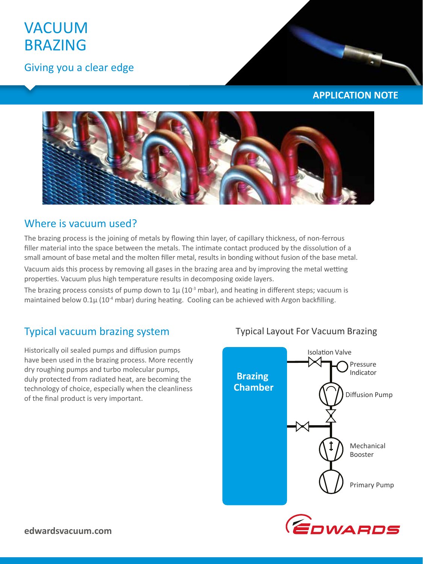# VACUUM **BRAZING**

Giving you a clear edge

### **APPLICATION NOTE**



### Where is vacuum used?

The brazing process is the joining of metals by flowing thin layer, of capillary thickness, of non-ferrous filler material into the space between the metals. The intimate contact produced by the dissolution of a small amount of base metal and the molten filler metal, results in bonding without fusion of the base metal.

Vacuum aids this process by removing all gases in the brazing area and by improving the metal wetting properties. Vacuum plus high temperature results in decomposing oxide layers.

The brazing process consists of pump down to  $1\mu$  (10<sup>-3</sup> mbar), and heating in different steps; vacuum is maintained below  $0.1\mu$  (10<sup>-4</sup> mbar) during heating. Cooling can be achieved with Argon backfilling.

## Typical vacuum brazing system

Historically oil sealed pumps and diffusion pumps have been used in the brazing process. More recently dry roughing pumps and turbo molecular pumps, duly protected from radiated heat, are becoming the technology of choice, especially when the cleanliness of the final product is very important.

### Typical Layout For Vacuum Brazing



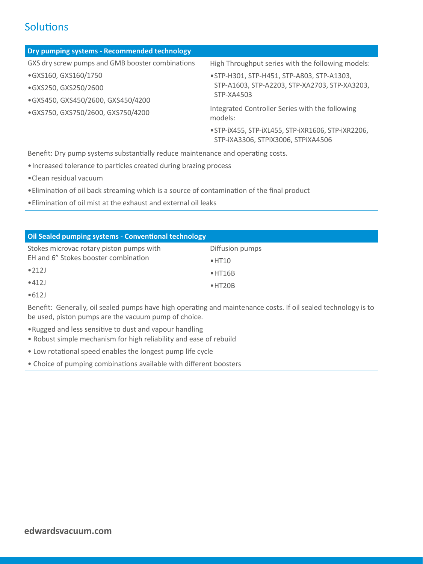# **Solutions**

| <b>Dry pumping systems - Recommended technology</b> |                                                                                                           |
|-----------------------------------------------------|-----------------------------------------------------------------------------------------------------------|
| GXS dry screw pumps and GMB booster combinations    | High Throughput series with the following models:                                                         |
| ·GXS160, GXS160/1750                                | • STP-H301, STP-H451, STP-A803, STP-A1303,<br>STP-A1603, STP-A2203, STP-XA2703, STP-XA3203,<br>STP-XA4503 |
| ·GXS250, GXS250/2600                                |                                                                                                           |
| ·GXS450, GXS450/2600, GXS450/4200                   |                                                                                                           |
| ·GXS750, GXS750/2600, GXS750/4200                   | Integrated Controller Series with the following<br>models:                                                |
|                                                     | · STP-iX455, STP-iXL455, STP-iXR1606, STP-iXR2206,<br>STP-iXA3306, STPIX3006, STPIXA4506                  |

Benefit: Dry pump systems substantially reduce maintenance and operating costs.

- •Increased tolerance to particles created during brazing process
- •Clean residual vacuum
- •Elimination of oil back streaming which is a source of contamination of the final product
- •Elimination of oil mist at the exhaust and external oil leaks

| <b>Oil Sealed pumping systems - Conventional technology</b>                                                                                                            |                 |
|------------------------------------------------------------------------------------------------------------------------------------------------------------------------|-----------------|
| Stokes microvac rotary piston pumps with                                                                                                                               | Diffusion pumps |
| EH and 6" Stokes booster combination                                                                                                                                   | $\bullet$ HT10  |
| $\bullet$ 212J                                                                                                                                                         | $\bullet$ HT16B |
| •412J                                                                                                                                                                  | $\bullet$ HT20B |
| •612J                                                                                                                                                                  |                 |
| Benefit: Generally, oil sealed pumps have high operating and maintenance costs. If oil sealed technology is to<br>be used, piston pumps are the vacuum pump of choice. |                 |
| • Rugged and less sensitive to dust and vapour handling<br>• Robust simple mechanism for high reliability and ease of rebuild                                          |                 |

- Low rotational speed enables the longest pump life cycle
- Choice of pumping combinations available with different boosters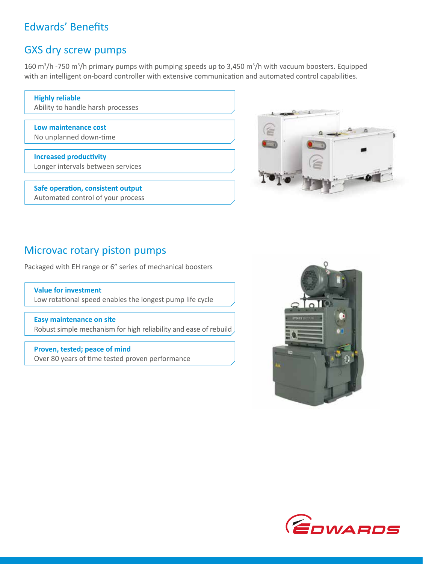# Edwards' Benefits

### GXS dry screw pumps

160 m<sup>3</sup>/h -750 m<sup>3</sup>/h primary pumps with pumping speeds up to 3,450 m<sup>3</sup>/h with vacuum boosters. Equipped with an intelligent on-board controller with extensive communication and automated control capabilities.

**Highly reliable**  Ability to handle harsh processes

**Low maintenance cost**  No unplanned down‐time

**Increased productivity**  Longer intervals between services

**Safe operation, consistent output**  Automated control of your process



### Microvac rotary piston pumps

Packaged with EH range or 6" series of mechanical boosters

**Value for investment**  Low rotational speed enables the longest pump life cycle

**Easy maintenance on site** Robust simple mechanism for high reliability and ease of rebuild

**Proven, tested; peace of mind**  Over 80 years of time tested proven performance